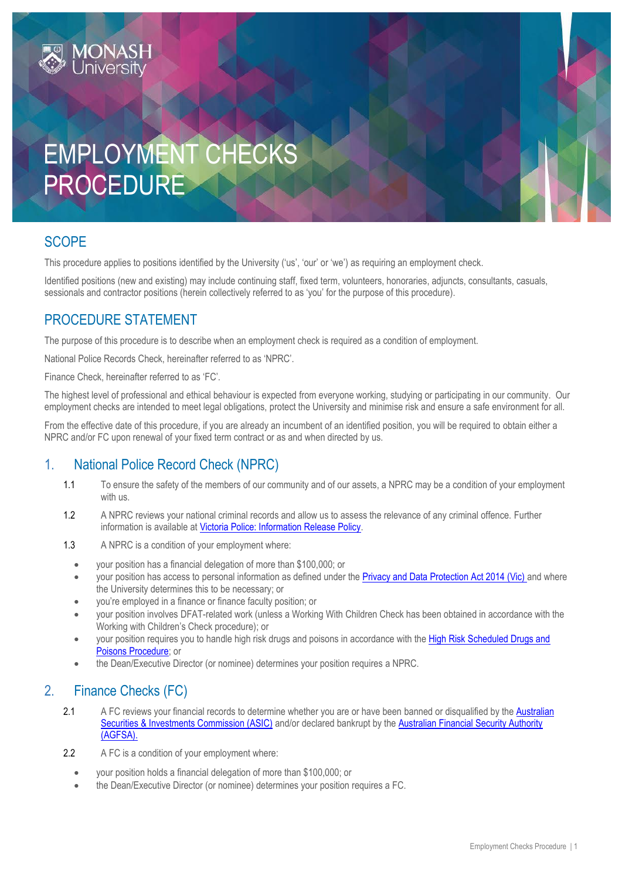# EMPLOYMENT CHECKS PROCEDURE

## **SCOPE**

This procedure applies to positions identified by the University ('us', 'our' or 'we') as requiring an employment check.

Identified positions (new and existing) may include continuing staff, fixed term, volunteers, honoraries, adjuncts, consultants, casuals, sessionals and contractor positions (herein collectively referred to as 'you' for the purpose of this procedure).

## PROCEDURE STATEMENT

The purpose of this procedure is to describe when an employment check is required as a condition of employment.

National Police Records Check, hereinafter referred to as 'NPRC'.

Finance Check, hereinafter referred to as 'FC'.

The highest level of professional and ethical behaviour is expected from everyone working, studying or participating in our community. Our employment checks are intended to meet legal obligations, protect the University and minimise risk and ensure a safe environment for all.

From the effective date of this procedure, if you are already an incumbent of an identified position, you will be required to obtain either a NPRC and/or FC upon renewal of your fixed term contract or as and when directed by us.

## 1. National Police Record Check (NPRC)

- 1.1 To ensure the safety of the members of our community and of our assets, a NPRC may be a condition of your employment with us.
- 1.2 A NPRC reviews your national criminal records and allow us to assess the relevance of any criminal offence. Further information is available at [Victoria Police: Information Release Policy.](http://www.police.vic.gov.au/content.asp?a=internetBridgingPage&Media_ID=38447)
- 1.3 A NPRC is a condition of your employment where:
	- your position has a financial delegation of more than \$100,000; or
	- your position has access to personal information as defined under the [Privacy and Data Protection Act 2014 \(Vic\)](http://www.legislation.vic.gov.au/Domino/Web_Notes/LDMS/PubStatbook.nsf/f932b66241ecf1b7ca256e92000e23be/05CC92B3F8CB6A6BCA257D4700209220/%24FILE/14-060aa%20authorised.pdf) and where the University determines this to be necessary; or
	- you're employed in a finance or finance faculty position; or
	- your position involves DFAT-related work (unless a Working With Children Check has been obtained in accordance with the Working with Children's Check procedure); or
	- your position requires you to handle high risk drugs and poisons in accordance with the High Risk Scheduled Drugs and [Poisons Procedure;](https://publicpolicydms.monash.edu/Monash/documents/1935637) or
	- the Dean/Executive Director (or nominee) determines your position requires a NPRC.

## 2. Finance Checks (FC)

- 2.1 A FC reviews your financial records to determine whether you are or have been banned or disqualified by the Australian [Securities & Investments Commission \(ASIC\)](http://asic.gov.au/online-services/search-asics-registers/banned-and-disqualified/) and/or declared bankrupt by th[e Australian Financial Security Authority](https://www.afsa.gov.au/online-services/bankruptcy-register-search)  [\(AGFSA\).](https://www.afsa.gov.au/online-services/bankruptcy-register-search)
- 2.2 A FC is a condition of your employment where:
	- your position holds a financial delegation of more than \$100,000; or
	- the Dean/Executive Director (or nominee) determines your position requires a FC.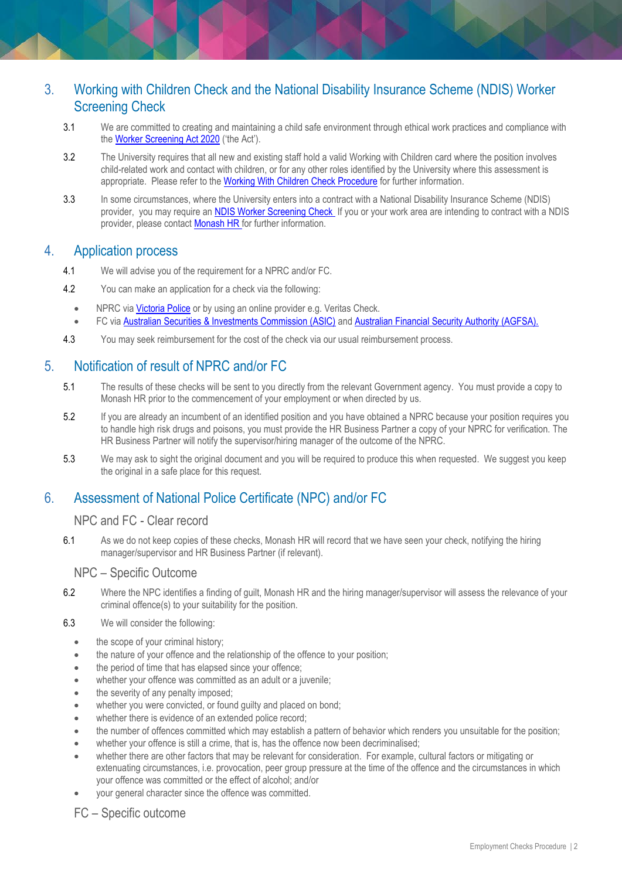## 3. Working with Children Check and the National Disability Insurance Scheme (NDIS) Worker Screening Check

- 3.1 We are committed to creating and maintaining a child safe environment through ethical work practices and compliance with the [Worker Screening Act 2020](https://www.legislation.vic.gov.au/as-made/acts/worker-screening-act-2020) ('the Act').
- 3.2 The University requires that all new and existing staff hold a valid Working with Children card where the position involves child-related work and contact with children, or for any other roles identified by the University where this assessment is appropriate. Please refer to the [Working With Children Check Procedure](https://publicpolicydms.monash.edu/Monash/documents/1935742) for further information.
- 3.3 In some circumstances, where the University enters into a contract with a National Disability Insurance Scheme (NDIS) provider, you may require a[n NDIS Worker Screening Check](https://www.vic.gov.au/ndis-worker-screening-check) If you or your work area are intending to contract with a NDIS provider, please contact [Monash HR fo](mailto:hr@monash.edu)r further information.

#### 4. Application process

- 4.1 We will advise you of the requirement for a NPRC and/or FC.
- 4.2 You can make an application for a check via the following:
	- NPRC vi[a Victoria Police](http://www.police.vic.gov.au/content.asp?Document_ID=274) or by using an online provider e.g. Veritas Check.
	- FC via [Australian Securities & Investments Commission \(ASIC\)](http://asic.gov.au/online-services/search-asics-registers/banned-and-disqualified/) an[d Australian Financial Security Authority \(AGFSA\).](https://www.afsa.gov.au/online-services/bankruptcy-register-search)
- 4.3 You may seek reimbursement for the cost of the check via our usual reimbursement process.

## 5. Notification of result of NPRC and/or FC

- 5.1 The results of these checks will be sent to you directly from the relevant Government agency. You must provide a copy to Monash HR prior to the commencement of your employment or when directed by us.
- 5.2 If you are already an incumbent of an identified position and you have obtained a NPRC because your position requires you to handle high risk drugs and poisons, you must provide the HR Business Partner a copy of your NPRC for verification. The HR Business Partner will notify the supervisor/hiring manager of the outcome of the NPRC.
- 5.3 We may ask to sight the original document and you will be required to produce this when requested. We suggest you keep the original in a safe place for this request.

## 6. Assessment of National Police Certificate (NPC) and/or FC

#### NPC and FC - Clear record

6.1 As we do not keep copies of these checks, Monash HR will record that we have seen your check, notifying the hiring manager/supervisor and HR Business Partner (if relevant).

#### NPC – Specific Outcome

- 6.2 Where the NPC identifies a finding of guilt, Monash HR and the hiring manager/supervisor will assess the relevance of your criminal offence(s) to your suitability for the position.
- 6.3 We will consider the following:
	- the scope of your criminal history;
	- the nature of your offence and the relationship of the offence to your position;
	- the period of time that has elapsed since your offence;
	- whether your offence was committed as an adult or a juvenile;
	- the severity of any penalty imposed;
	- whether you were convicted, or found guilty and placed on bond;
	- whether there is evidence of an extended police record;
	- the number of offences committed which may establish a pattern of behavior which renders you unsuitable for the position;
	- whether your offence is still a crime, that is, has the offence now been decriminalised;
	- whether there are other factors that may be relevant for consideration. For example, cultural factors or mitigating or extenuating circumstances, i.e. provocation, peer group pressure at the time of the offence and the circumstances in which your offence was committed or the effect of alcohol; and/or
	- your general character since the offence was committed.

FC – Specific outcome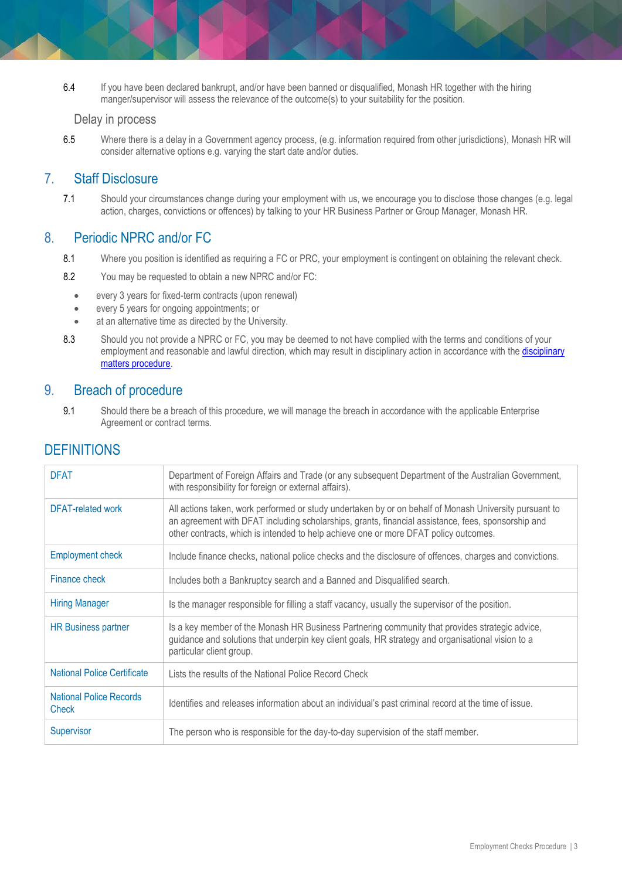6.4 If you have been declared bankrupt, and/or have been banned or disqualified, Monash HR together with the hiring manger/supervisor will assess the relevance of the outcome(s) to your suitability for the position.

#### Delay in process

6.5 Where there is a delay in a Government agency process, (e.g. information required from other jurisdictions), Monash HR will consider alternative options e.g. varying the start date and/or duties.

#### 7. Staff Disclosure

7.1 Should your circumstances change during your employment with us, we encourage you to disclose those changes (e.g. legal action, charges, convictions or offences) by talking to your HR Business Partner or Group Manager, Monash HR.

#### 8. Periodic NPRC and/or FC

- 8.1 Where you position is identified as requiring a FC or PRC, your employment is contingent on obtaining the relevant check.
- 8.2 You may be requested to obtain a new NPRC and/or FC:
	- every 3 years for fixed-term contracts (upon renewal)
	- every 5 years for ongoing appointments; or
	- at an alternative time as directed by the University.
- 8.3 Should you not provide a NPRC or FC, you may be deemed to not have complied with the terms and conditions of your employment and reasonable and lawful direction, which may result in [disciplinary](https://publicpolicydms.monash.edu/Monash/documents/1935674) action in accordance with the disciplinary [matters procedure.](https://publicpolicydms.monash.edu/Monash/documents/1935674)

#### 9. Breach of procedure

9.1 Should there be a breach of this procedure, we will manage the breach in accordance with the applicable Enterprise Agreement or contract terms.

## **DEFINITIONS**

| <b>DFAT</b>                             | Department of Foreign Affairs and Trade (or any subsequent Department of the Australian Government,<br>with responsibility for foreign or external affairs).                                                                                                                                         |
|-----------------------------------------|------------------------------------------------------------------------------------------------------------------------------------------------------------------------------------------------------------------------------------------------------------------------------------------------------|
| <b>DFAT-related work</b>                | All actions taken, work performed or study undertaken by or on behalf of Monash University pursuant to<br>an agreement with DFAT including scholarships, grants, financial assistance, fees, sponsorship and<br>other contracts, which is intended to help achieve one or more DFAT policy outcomes. |
| <b>Employment check</b>                 | Include finance checks, national police checks and the disclosure of offences, charges and convictions.                                                                                                                                                                                              |
| Finance check                           | Includes both a Bankruptcy search and a Banned and Disqualified search.                                                                                                                                                                                                                              |
| <b>Hiring Manager</b>                   | Is the manager responsible for filling a staff vacancy, usually the supervisor of the position.                                                                                                                                                                                                      |
| <b>HR Business partner</b>              | Is a key member of the Monash HR Business Partnering community that provides strategic advice,<br>guidance and solutions that underpin key client goals, HR strategy and organisational vision to a<br>particular client group.                                                                      |
| <b>National Police Certificate</b>      | Lists the results of the National Police Record Check                                                                                                                                                                                                                                                |
| <b>National Police Records</b><br>Check | Identifies and releases information about an individual's past criminal record at the time of issue.                                                                                                                                                                                                 |
| Supervisor                              | The person who is responsible for the day-to-day supervision of the staff member.                                                                                                                                                                                                                    |